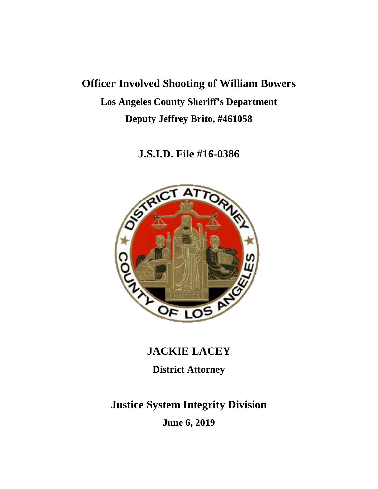# **Officer Involved Shooting of William Bowers Los Angeles County Sheriff's Department Deputy Jeffrey Brito, #461058**

**J.S.I.D. File #16-0386**



# **JACKIE LACEY**

**District Attorney**

# **Justice System Integrity Division**

**June 6, 2019**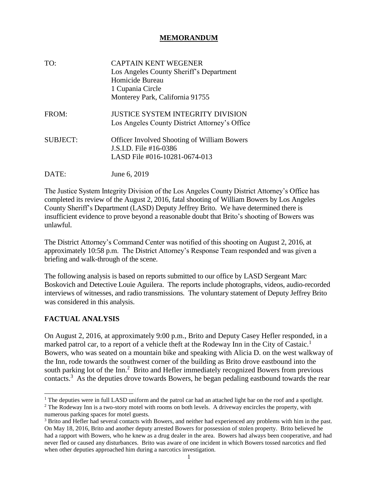## **MEMORANDUM**

| TO:      | <b>CAPTAIN KENT WEGENER</b><br>Los Angeles County Sheriff's Department<br>Homicide Bureau<br>1 Cupania Circle<br>Monterey Park, California 91755 |
|----------|--------------------------------------------------------------------------------------------------------------------------------------------------|
| FROM:    | <b>JUSTICE SYSTEM INTEGRITY DIVISION</b><br>Los Angeles County District Attorney's Office                                                        |
| SUBJECT: | <b>Officer Involved Shooting of William Bowers</b><br>J.S.I.D. File #16-0386<br>LASD File #016-10281-0674-013                                    |
| DATE:    | June 6, 2019                                                                                                                                     |

The Justice System Integrity Division of the Los Angeles County District Attorney's Office has completed its review of the August 2, 2016, fatal shooting of William Bowers by Los Angeles County Sheriff's Department (LASD) Deputy Jeffrey Brito. We have determined there is insufficient evidence to prove beyond a reasonable doubt that Brito's shooting of Bowers was unlawful.

The District Attorney's Command Center was notified of this shooting on August 2, 2016, at approximately 10:58 p.m. The District Attorney's Response Team responded and was given a briefing and walk-through of the scene.

The following analysis is based on reports submitted to our office by LASD Sergeant Marc Boskovich and Detective Louie Aguilera. The reports include photographs, videos, audio-recorded interviews of witnesses, and radio transmissions. The voluntary statement of Deputy Jeffrey Brito was considered in this analysis.

# **FACTUAL ANALYSIS**

 $\overline{a}$ 

On August 2, 2016, at approximately 9:00 p.m., Brito and Deputy Casey Hefler responded, in a marked patrol car, to a report of a vehicle theft at the Rodeway Inn in the City of Castaic.<sup>1</sup> Bowers, who was seated on a mountain bike and speaking with Alicia D. on the west walkway of the Inn, rode towards the southwest corner of the building as Brito drove eastbound into the south parking lot of the Inn.<sup>2</sup> Brito and Hefler immediately recognized Bowers from previous contacts.<sup>3</sup> As the deputies drove towards Bowers, he began pedaling eastbound towards the rear

<sup>&</sup>lt;sup>1</sup> The deputies were in full LASD uniform and the patrol car had an attached light bar on the roof and a spotlight.

<sup>&</sup>lt;sup>2</sup> The Rodeway Inn is a two-story motel with rooms on both levels. A driveway encircles the property, with numerous parking spaces for motel guests.

<sup>&</sup>lt;sup>3</sup> Brito and Hefler had several contacts with Bowers, and neither had experienced any problems with him in the past. On May 18, 2016, Brito and another deputy arrested Bowers for possession of stolen property. Brito believed he had a rapport with Bowers, who he knew as a drug dealer in the area. Bowers had always been cooperative, and had never fled or caused any disturbances. Brito was aware of one incident in which Bowers tossed narcotics and fled when other deputies approached him during a narcotics investigation.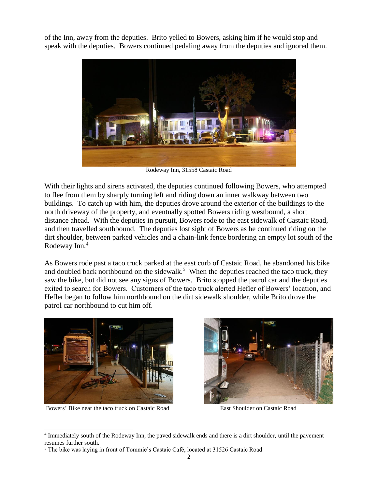of the Inn, away from the deputies. Brito yelled to Bowers, asking him if he would stop and speak with the deputies. Bowers continued pedaling away from the deputies and ignored them.



Rodeway Inn, 31558 Castaic Road

With their lights and sirens activated, the deputies continued following Bowers, who attempted to flee from them by sharply turning left and riding down an inner walkway between two buildings. To catch up with him, the deputies drove around the exterior of the buildings to the north driveway of the property, and eventually spotted Bowers riding westbound, a short distance ahead. With the deputies in pursuit, Bowers rode to the east sidewalk of Castaic Road, and then travelled southbound. The deputies lost sight of Bowers as he continued riding on the dirt shoulder, between parked vehicles and a chain-link fence bordering an empty lot south of the Rodeway Inn.<sup>4</sup>

As Bowers rode past a taco truck parked at the east curb of Castaic Road, he abandoned his bike and doubled back northbound on the sidewalk.<sup>5</sup> When the deputies reached the taco truck, they saw the bike, but did not see any signs of Bowers. Brito stopped the patrol car and the deputies exited to search for Bowers. Customers of the taco truck alerted Hefler of Bowers' location, and Hefler began to follow him northbound on the dirt sidewalk shoulder, while Brito drove the patrol car northbound to cut him off.



Bowers' Bike near the taco truck on Castaic Road East Shoulder on Castaic Road

 $\overline{a}$ 



<sup>&</sup>lt;sup>4</sup> Immediately south of the Rodeway Inn, the paved sidewalk ends and there is a dirt shoulder, until the pavement resumes further south.

<sup>5</sup> The bike was laying in front of Tommie's Castaic Café, located at 31526 Castaic Road.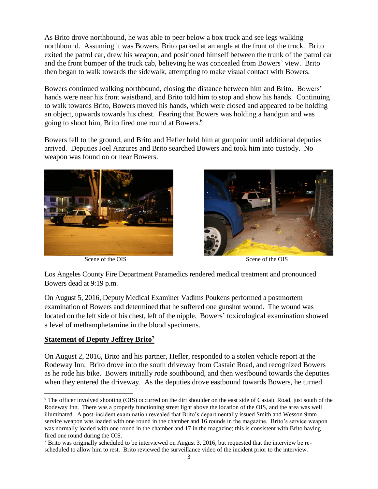As Brito drove northbound, he was able to peer below a box truck and see legs walking northbound. Assuming it was Bowers, Brito parked at an angle at the front of the truck. Brito exited the patrol car, drew his weapon, and positioned himself between the trunk of the patrol car and the front bumper of the truck cab, believing he was concealed from Bowers' view. Brito then began to walk towards the sidewalk, attempting to make visual contact with Bowers.

Bowers continued walking northbound, closing the distance between him and Brito. Bowers' hands were near his front waistband, and Brito told him to stop and show his hands. Continuing to walk towards Brito, Bowers moved his hands, which were closed and appeared to be holding an object, upwards towards his chest. Fearing that Bowers was holding a handgun and was going to shoot him, Brito fired one round at Bowers.<sup>6</sup>

Bowers fell to the ground, and Brito and Hefler held him at gunpoint until additional deputies arrived. Deputies Joel Anzures and Brito searched Bowers and took him into custody. No weapon was found on or near Bowers.



Scene of the OIS Scene of the OIS



Los Angeles County Fire Department Paramedics rendered medical treatment and pronounced Bowers dead at 9:19 p.m.

 $\parallel$ 

On August 5, 2016, Deputy Medical Examiner Vadims Poukens performed a postmortem examination of Bowers and determined that he suffered one gunshot wound. The wound was located on the left side of his chest, left of the nipple. Bowers' toxicological examination showed a level of methamphetamine in the blood specimens.

#### **Statement of Deputy Jeffrey Brito<sup>7</sup>**

 $\overline{a}$ 

On August 2, 2016, Brito and his partner, Hefler, responded to a stolen vehicle report at the Rodeway Inn. Brito drove into the south driveway from Castaic Road, and recognized Bowers as he rode his bike. Bowers initially rode southbound, and then westbound towards the deputies when they entered the driveway. As the deputies drove eastbound towards Bowers, he turned

<sup>&</sup>lt;sup>6</sup> The officer involved shooting (OIS) occurred on the dirt shoulder on the east side of Castaic Road, just south of the Rodeway Inn. There was a properly functioning street light above the location of the OIS, and the area was well illuminated. A post-incident examination revealed that Brito's departmentally issued Smith and Wesson 9mm service weapon was loaded with one round in the chamber and 16 rounds in the magazine. Brito's service weapon was normally loaded with one round in the chamber and 17 in the magazine; this is consistent with Brito having fired one round during the OIS.

 $<sup>7</sup>$  Brito was originally scheduled to be interviewed on August 3, 2016, but requested that the interview be re-</sup> scheduled to allow him to rest. Brito reviewed the surveillance video of the incident prior to the interview.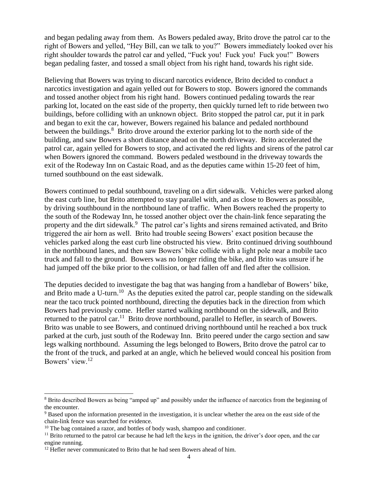and began pedaling away from them. As Bowers pedaled away, Brito drove the patrol car to the right of Bowers and yelled, "Hey Bill, can we talk to you?" Bowers immediately looked over his right shoulder towards the patrol car and yelled, "Fuck you! Fuck you! Fuck you!" Bowers began pedaling faster, and tossed a small object from his right hand, towards his right side.

Believing that Bowers was trying to discard narcotics evidence, Brito decided to conduct a narcotics investigation and again yelled out for Bowers to stop. Bowers ignored the commands and tossed another object from his right hand. Bowers continued pedaling towards the rear parking lot, located on the east side of the property, then quickly turned left to ride between two buildings, before colliding with an unknown object. Brito stopped the patrol car, put it in park and began to exit the car, however, Bowers regained his balance and pedaled northbound between the buildings.<sup>8</sup> Brito drove around the exterior parking lot to the north side of the building, and saw Bowers a short distance ahead on the north driveway. Brito accelerated the patrol car, again yelled for Bowers to stop, and activated the red lights and sirens of the patrol car when Bowers ignored the command. Bowers pedaled westbound in the driveway towards the exit of the Rodeway Inn on Castaic Road, and as the deputies came within 15-20 feet of him, turned southbound on the east sidewalk.

Bowers continued to pedal southbound, traveling on a dirt sidewalk. Vehicles were parked along the east curb line, but Brito attempted to stay parallel with, and as close to Bowers as possible, by driving southbound in the northbound lane of traffic. When Bowers reached the property to the south of the Rodeway Inn, he tossed another object over the chain-link fence separating the property and the dirt sidewalk.<sup>9</sup> The patrol car's lights and sirens remained activated, and Brito triggered the air horn as well. Brito had trouble seeing Bowers' exact position because the vehicles parked along the east curb line obstructed his view. Brito continued driving southbound in the northbound lanes, and then saw Bowers' bike collide with a light pole near a mobile taco truck and fall to the ground. Bowers was no longer riding the bike, and Brito was unsure if he had jumped off the bike prior to the collision, or had fallen off and fled after the collision.

The deputies decided to investigate the bag that was hanging from a handlebar of Bowers' bike, and Brito made a U-turn.<sup>10</sup> As the deputies exited the patrol car, people standing on the sidewalk near the taco truck pointed northbound, directing the deputies back in the direction from which Bowers had previously come. Hefler started walking northbound on the sidewalk, and Brito returned to the patrol car.<sup>11</sup> Brito drove northbound, parallel to Hefler, in search of Bowers. Brito was unable to see Bowers, and continued driving northbound until he reached a box truck parked at the curb, just south of the Rodeway Inn. Brito peered under the cargo section and saw legs walking northbound. Assuming the legs belonged to Bowers, Brito drove the patrol car to the front of the truck, and parked at an angle, which he believed would conceal his position from Bowers' view.<sup>12</sup>

 $\overline{a}$ 

<sup>8</sup> Brito described Bowers as being "amped up" and possibly under the influence of narcotics from the beginning of the encounter.

<sup>9</sup> Based upon the information presented in the investigation, it is unclear whether the area on the east side of the chain-link fence was searched for evidence.

 $10$  The bag contained a razor, and bottles of body wash, shampoo and conditioner.

 $11$  Brito returned to the patrol car because he had left the keys in the ignition, the driver's door open, and the car engine running.

<sup>&</sup>lt;sup>12</sup> Hefler never communicated to Brito that he had seen Bowers ahead of him.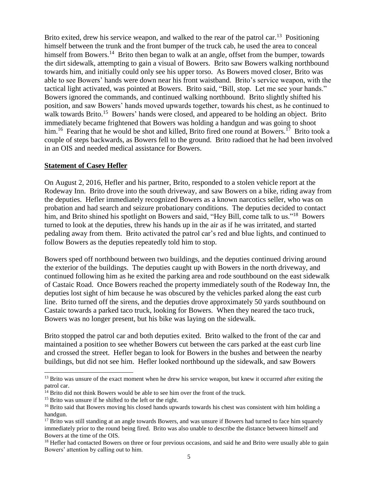Brito exited, drew his service weapon, and walked to the rear of the patrol car.<sup>13</sup> Positioning himself between the trunk and the front bumper of the truck cab, he used the area to conceal himself from Bowers.<sup>14</sup> Brito then began to walk at an angle, offset from the bumper, towards the dirt sidewalk, attempting to gain a visual of Bowers. Brito saw Bowers walking northbound towards him, and initially could only see his upper torso. As Bowers moved closer, Brito was able to see Bowers' hands were down near his front waistband. Brito's service weapon, with the tactical light activated, was pointed at Bowers. Brito said, "Bill, stop. Let me see your hands." Bowers ignored the commands, and continued walking northbound. Brito slightly shifted his position, and saw Bowers' hands moved upwards together, towards his chest, as he continued to walk towards Brito.<sup>15</sup> Bowers' hands were closed, and appeared to be holding an object. Brito immediately became frightened that Bowers was holding a handgun and was going to shoot him.<sup>16</sup> Fearing that he would be shot and killed, Brito fired one round at Bowers.<sup>17</sup> Brito took a couple of steps backwards, as Bowers fell to the ground. Brito radioed that he had been involved in an OIS and needed medical assistance for Bowers.

#### **Statement of Casey Hefler**

On August 2, 2016, Hefler and his partner, Brito, responded to a stolen vehicle report at the Rodeway Inn. Brito drove into the south driveway, and saw Bowers on a bike, riding away from the deputies. Hefler immediately recognized Bowers as a known narcotics seller, who was on probation and had search and seizure probationary conditions. The deputies decided to contact him, and Brito shined his spotlight on Bowers and said, "Hey Bill, come talk to us."<sup>18</sup> Bowers turned to look at the deputies, threw his hands up in the air as if he was irritated, and started pedaling away from them. Brito activated the patrol car's red and blue lights, and continued to follow Bowers as the deputies repeatedly told him to stop.

Bowers sped off northbound between two buildings, and the deputies continued driving around the exterior of the buildings. The deputies caught up with Bowers in the north driveway, and continued following him as he exited the parking area and rode southbound on the east sidewalk of Castaic Road. Once Bowers reached the property immediately south of the Rodeway Inn, the deputies lost sight of him because he was obscured by the vehicles parked along the east curb line. Brito turned off the sirens, and the deputies drove approximately 50 yards southbound on Castaic towards a parked taco truck, looking for Bowers. When they neared the taco truck, Bowers was no longer present, but his bike was laying on the sidewalk.

Brito stopped the patrol car and both deputies exited. Brito walked to the front of the car and maintained a position to see whether Bowers cut between the cars parked at the east curb line and crossed the street. Hefler began to look for Bowers in the bushes and between the nearby buildings, but did not see him. Hefler looked northbound up the sidewalk, and saw Bowers

 $\overline{a}$ 

<sup>&</sup>lt;sup>13</sup> Brito was unsure of the exact moment when he drew his service weapon, but knew it occurred after exiting the patrol car.

<sup>&</sup>lt;sup>14</sup> Brito did not think Bowers would be able to see him over the front of the truck.

<sup>&</sup>lt;sup>15</sup> Brito was unsure if he shifted to the left or the right.

<sup>&</sup>lt;sup>16</sup> Brito said that Bowers moving his closed hands upwards towards his chest was consistent with him holding a handgun.

 $17$  Brito was still standing at an angle towards Bowers, and was unsure if Bowers had turned to face him squarely immediately prior to the round being fired. Brito was also unable to describe the distance between himself and Bowers at the time of the OIS.

<sup>&</sup>lt;sup>18</sup> Hefler had contacted Bowers on three or four previous occasions, and said he and Brito were usually able to gain Bowers' attention by calling out to him.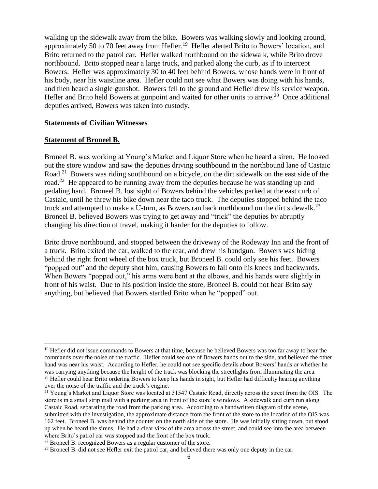walking up the sidewalk away from the bike. Bowers was walking slowly and looking around, approximately 50 to 70 feet away from Hefler.<sup>19</sup> Hefler alerted Brito to Bowers' location, and Brito returned to the patrol car. Hefler walked northbound on the sidewalk, while Brito drove northbound. Brito stopped near a large truck, and parked along the curb, as if to intercept Bowers. Hefler was approximately 30 to 40 feet behind Bowers, whose hands were in front of his body, near his waistline area. Hefler could not see what Bowers was doing with his hands, and then heard a single gunshot. Bowers fell to the ground and Hefler drew his service weapon. Hefler and Brito held Bowers at gunpoint and waited for other units to arrive.<sup>20</sup> Once additional deputies arrived, Bowers was taken into custody.

#### **Statements of Civilian Witnesses**

#### **Statement of Broneel B.**

 $\overline{a}$ 

Broneel B. was working at Young's Market and Liquor Store when he heard a siren. He looked out the store window and saw the deputies driving southbound in the northbound lane of Castaic Road.<sup>21</sup> Bowers was riding southbound on a bicycle, on the dirt sidewalk on the east side of the road.<sup>22</sup> He appeared to be running away from the deputies because he was standing up and pedaling hard. Broneel B. lost sight of Bowers behind the vehicles parked at the east curb of Castaic, until he threw his bike down near the taco truck. The deputies stopped behind the taco truck and attempted to make a U-turn, as Bowers ran back northbound on the dirt sidewalk.<sup>23</sup> Broneel B. believed Bowers was trying to get away and "trick" the deputies by abruptly changing his direction of travel, making it harder for the deputies to follow.

Brito drove northbound, and stopped between the driveway of the Rodeway Inn and the front of a truck. Brito exited the car, walked to the rear, and drew his handgun. Bowers was hiding behind the right front wheel of the box truck, but Broneel B. could only see his feet. Bowers "popped out" and the deputy shot him, causing Bowers to fall onto his knees and backwards. When Bowers "popped out," his arms were bent at the elbows, and his hands were slightly in front of his waist. Due to his position inside the store, Broneel B. could not hear Brito say anything, but believed that Bowers startled Brito when he "popped" out.

 $19$  Hefler did not issue commands to Bowers at that time, because he believed Bowers was too far away to hear the commands over the noise of the traffic. Hefler could see one of Bowers hands out to the side, and believed the other hand was near his waist. According to Hefler, he could not see specific details about Bowers' hands or whether he was carrying anything because the height of the truck was blocking the streetlights from illuminating the area.  $20$  Hefler could hear Brito ordering Bowers to keep his hands in sight, but Hefler had difficulty hearing anything over the noise of the traffic and the truck's engine.

<sup>&</sup>lt;sup>21</sup> Young's Market and Liquor Store was located at 31547 Castaic Road, directly across the street from the OIS. The store is in a small strip mall with a parking area in front of the store's windows. A sidewalk and curb run along Castaic Road, separating the road from the parking area. According to a handwritten diagram of the scene, submitted with the investigation, the approximate distance from the front of the store to the location of the OIS was 162 feet. Broneel B. was behind the counter on the north side of the store. He was initially sitting down, but stood up when he heard the sirens. He had a clear view of the area across the street, and could see into the area between where Brito's patrol car was stopped and the front of the box truck.

 $22$  Broneel B. recognized Bowers as a regular customer of the store.

<sup>&</sup>lt;sup>23</sup> Broneel B. did not see Hefler exit the patrol car, and believed there was only one deputy in the car.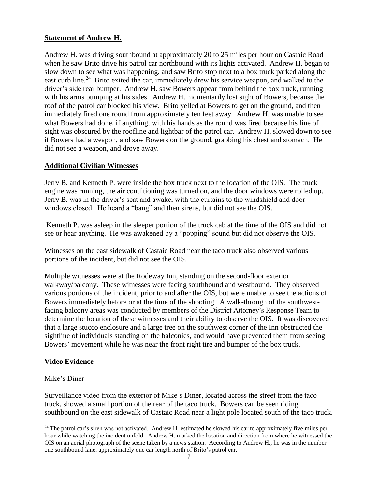# **Statement of Andrew H.**

Andrew H. was driving southbound at approximately 20 to 25 miles per hour on Castaic Road when he saw Brito drive his patrol car northbound with its lights activated. Andrew H. began to slow down to see what was happening, and saw Brito stop next to a box truck parked along the east curb line.<sup>24</sup> Brito exited the car, immediately drew his service weapon, and walked to the driver's side rear bumper. Andrew H. saw Bowers appear from behind the box truck, running with his arms pumping at his sides. Andrew H. momentarily lost sight of Bowers, because the roof of the patrol car blocked his view. Brito yelled at Bowers to get on the ground, and then immediately fired one round from approximately ten feet away. Andrew H. was unable to see what Bowers had done, if anything, with his hands as the round was fired because his line of sight was obscured by the roofline and lightbar of the patrol car. Andrew H. slowed down to see if Bowers had a weapon, and saw Bowers on the ground, grabbing his chest and stomach. He did not see a weapon, and drove away.

## **Additional Civilian Witnesses**

Jerry B. and Kenneth P. were inside the box truck next to the location of the OIS. The truck engine was running, the air conditioning was turned on, and the door windows were rolled up. Jerry B. was in the driver's seat and awake, with the curtains to the windshield and door windows closed. He heard a "bang" and then sirens, but did not see the OIS.

Kenneth P. was asleep in the sleeper portion of the truck cab at the time of the OIS and did not see or hear anything. He was awakened by a "popping" sound but did not observe the OIS.

Witnesses on the east sidewalk of Castaic Road near the taco truck also observed various portions of the incident, but did not see the OIS.

Multiple witnesses were at the Rodeway Inn, standing on the second-floor exterior walkway/balcony. These witnesses were facing southbound and westbound. They observed various portions of the incident, prior to and after the OIS, but were unable to see the actions of Bowers immediately before or at the time of the shooting. A walk-through of the southwestfacing balcony areas was conducted by members of the District Attorney's Response Team to determine the location of these witnesses and their ability to observe the OIS. It was discovered that a large stucco enclosure and a large tree on the southwest corner of the Inn obstructed the sightline of individuals standing on the balconies, and would have prevented them from seeing Bowers' movement while he was near the front right tire and bumper of the box truck.

#### **Video Evidence**

#### Mike's Diner

l

Surveillance video from the exterior of Mike's Diner, located across the street from the taco truck, showed a small portion of the rear of the taco truck. Bowers can be seen riding southbound on the east sidewalk of Castaic Road near a light pole located south of the taco truck.

<sup>&</sup>lt;sup>24</sup> The patrol car's siren was not activated. Andrew H. estimated he slowed his car to approximately five miles per hour while watching the incident unfold. Andrew H. marked the location and direction from where he witnessed the OIS on an aerial photograph of the scene taken by a news station. According to Andrew H., he was in the number one southbound lane, approximately one car length north of Brito's patrol car.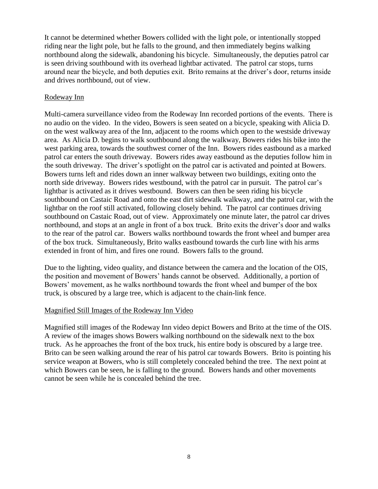It cannot be determined whether Bowers collided with the light pole, or intentionally stopped riding near the light pole, but he falls to the ground, and then immediately begins walking northbound along the sidewalk, abandoning his bicycle. Simultaneously, the deputies patrol car is seen driving southbound with its overhead lightbar activated. The patrol car stops, turns around near the bicycle, and both deputies exit. Brito remains at the driver's door, returns inside and drives northbound, out of view.

## Rodeway Inn

Multi-camera surveillance video from the Rodeway Inn recorded portions of the events. There is no audio on the video. In the video, Bowers is seen seated on a bicycle, speaking with Alicia D. on the west walkway area of the Inn, adjacent to the rooms which open to the westside driveway area. As Alicia D. begins to walk southbound along the walkway, Bowers rides his bike into the west parking area, towards the southwest corner of the Inn. Bowers rides eastbound as a marked patrol car enters the south driveway. Bowers rides away eastbound as the deputies follow him in the south driveway. The driver's spotlight on the patrol car is activated and pointed at Bowers. Bowers turns left and rides down an inner walkway between two buildings, exiting onto the north side driveway. Bowers rides westbound, with the patrol car in pursuit. The patrol car's lightbar is activated as it drives westbound. Bowers can then be seen riding his bicycle southbound on Castaic Road and onto the east dirt sidewalk walkway, and the patrol car, with the lightbar on the roof still activated, following closely behind. The patrol car continues driving southbound on Castaic Road, out of view. Approximately one minute later, the patrol car drives northbound, and stops at an angle in front of a box truck. Brito exits the driver's door and walks to the rear of the patrol car. Bowers walks northbound towards the front wheel and bumper area of the box truck. Simultaneously, Brito walks eastbound towards the curb line with his arms extended in front of him, and fires one round. Bowers falls to the ground.

Due to the lighting, video quality, and distance between the camera and the location of the OIS, the position and movement of Bowers' hands cannot be observed. Additionally, a portion of Bowers' movement, as he walks northbound towards the front wheel and bumper of the box truck, is obscured by a large tree, which is adjacent to the chain-link fence.

#### Magnified Still Images of the Rodeway Inn Video

Magnified still images of the Rodeway Inn video depict Bowers and Brito at the time of the OIS. A review of the images shows Bowers walking northbound on the sidewalk next to the box truck. As he approaches the front of the box truck, his entire body is obscured by a large tree. Brito can be seen walking around the rear of his patrol car towards Bowers. Brito is pointing his service weapon at Bowers, who is still completely concealed behind the tree. The next point at which Bowers can be seen, he is falling to the ground. Bowers hands and other movements cannot be seen while he is concealed behind the tree.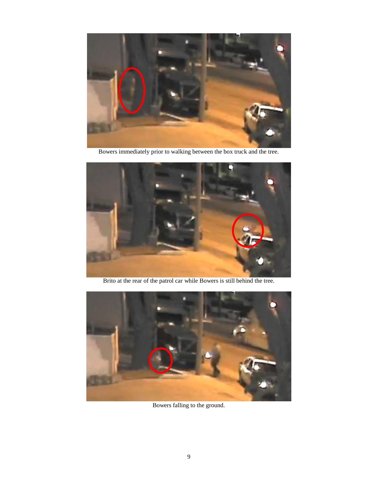

Bowers immediately prior to walking between the box truck and the tree.



Brito at the rear of the patrol car while Bowers is still behind the tree.



Bowers falling to the ground.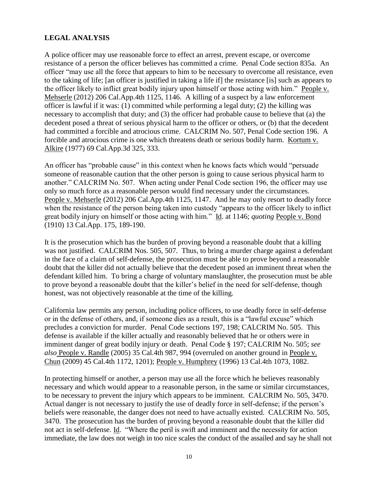# **LEGAL ANALYSIS**

A police officer may use reasonable force to effect an arrest, prevent escape, or overcome resistance of a person the officer believes has committed a crime. Penal Code section 835a. An officer "may use all the force that appears to him to be necessary to overcome all resistance, even to the taking of life; [an officer is justified in taking a life if] the resistance [is] such as appears to the officer likely to inflict great bodily injury upon himself or those acting with him." People v. Mehserle (2012) 206 Cal.App.4th 1125, 1146. A killing of a suspect by a law enforcement officer is lawful if it was: (1) committed while performing a legal duty; (2) the killing was necessary to accomplish that duty; and (3) the officer had probable cause to believe that (a) the decedent posed a threat of serious physical harm to the officer or others, or (b) that the decedent had committed a forcible and atrocious crime. CALCRIM No. 507, Penal Code section 196. A forcible and atrocious crime is one which threatens death or serious bodily harm. Kortum v. Alkire (1977) 69 Cal.App.3d 325, 333.

An officer has "probable cause" in this context when he knows facts which would "persuade someone of reasonable caution that the other person is going to cause serious physical harm to another." CALCRIM No. 507. When acting under Penal Code section 196, the officer may use only so much force as a reasonable person would find necessary under the circumstances. People v. Mehserle (2012) 206 Cal.App.4th 1125, 1147. And he may only resort to deadly force when the resistance of the person being taken into custody "appears to the officer likely to inflict great bodily injury on himself or those acting with him." Id. at 1146; *quoting* People v. Bond (1910) 13 Cal.App. 175, 189-190.

It is the prosecution which has the burden of proving beyond a reasonable doubt that a killing was not justified. CALCRIM Nos. 505, 507. Thus, to bring a murder charge against a defendant in the face of a claim of self-defense, the prosecution must be able to prove beyond a reasonable doubt that the killer did not actually believe that the decedent posed an imminent threat when the defendant killed him. To bring a charge of voluntary manslaughter, the prosecution must be able to prove beyond a reasonable doubt that the killer's belief in the need for self-defense, though honest, was not objectively reasonable at the time of the killing.

California law permits any person, including police officers, to use deadly force in self-defense or in the defense of others, and, if someone dies as a result, this is a "lawful excuse" which precludes a conviction for murder. Penal Code sections 197, 198; CALCRIM No. 505. This defense is available if the killer actually and reasonably believed that he or others were in imminent danger of great bodily injury or death. Penal Code § 197; CALCRIM No. 505; *see also* People v. Randle (2005) 35 Cal.4th 987, 994 (overruled on another ground in People v. Chun (2009) 45 Cal.4th 1172, 1201); People v. Humphrey (1996) 13 Cal.4th 1073, 1082.

In protecting himself or another, a person may use all the force which he believes reasonably necessary and which would appear to a reasonable person, in the same or similar circumstances, to be necessary to prevent the injury which appears to be imminent. CALCRIM No. 505, 3470. Actual danger is not necessary to justify the use of deadly force in self-defense; if the person's beliefs were reasonable, the danger does not need to have actually existed. CALCRIM No. 505, 3470. The prosecution has the burden of proving beyond a reasonable doubt that the killer did not act in self-defense. Id. "Where the peril is swift and imminent and the necessity for action immediate, the law does not weigh in too nice scales the conduct of the assailed and say he shall not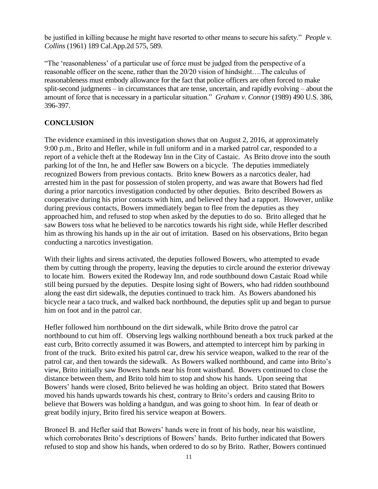be justified in killing because he might have resorted to other means to secure his safety." *People v. Collins* (1961) 189 Cal.App.2d 575, 589.

"The 'reasonableness' of a particular use of force must be judged from the perspective of a reasonable officer on the scene, rather than the 20/20 vision of hindsight….The calculus of reasonableness must embody allowance for the fact that police officers are often forced to make split-second judgments – in circumstances that are tense, uncertain, and rapidly evolving – about the amount of force that is necessary in a particular situation." *Graham v. Connor* (1989) 490 U.S. 386, 396-397.

# **CONCLUSION**

The evidence examined in this investigation shows that on August 2, 2016, at approximately 9:00 p.m., Brito and Hefler, while in full uniform and in a marked patrol car, responded to a report of a vehicle theft at the Rodeway Inn in the City of Castaic. As Brito drove into the south parking lot of the Inn, he and Hefler saw Bowers on a bicycle. The deputies immediately recognized Bowers from previous contacts. Brito knew Bowers as a narcotics dealer, had arrested him in the past for possession of stolen property, and was aware that Bowers had fled during a prior narcotics investigation conducted by other deputies. Brito described Bowers as cooperative during his prior contacts with him, and believed they had a rapport. However, unlike during previous contacts, Bowers immediately began to flee from the deputies as they approached him, and refused to stop when asked by the deputies to do so. Brito alleged that he saw Bowers toss what he believed to be narcotics towards his right side, while Hefler described him as throwing his hands up in the air out of irritation. Based on his observations, Brito began conducting a narcotics investigation.

With their lights and sirens activated, the deputies followed Bowers, who attempted to evade them by cutting through the property, leaving the deputies to circle around the exterior driveway to locate him. Bowers exited the Rodeway Inn, and rode southbound down Castaic Road while still being pursued by the deputies. Despite losing sight of Bowers, who had ridden southbound along the east dirt sidewalk, the deputies continued to track him. As Bowers abandoned his bicycle near a taco truck, and walked back northbound, the deputies split up and began to pursue him on foot and in the patrol car.

Hefler followed him northbound on the dirt sidewalk, while Brito drove the patrol car northbound to cut him off. Observing legs walking northbound beneath a box truck parked at the east curb, Brito correctly assumed it was Bowers, and attempted to intercept him by parking in front of the truck. Brito exited his patrol car, drew his service weapon, walked to the rear of the patrol car, and then towards the sidewalk. As Bowers walked northbound, and came into Brito's view, Brito initially saw Bowers hands near his front waistband. Bowers continued to close the distance between them, and Brito told him to stop and show his hands. Upon seeing that Bowers' hands were closed, Brito believed he was holding an object. Brito stated that Bowers moved his hands upwards towards his chest, contrary to Brito's orders and causing Brito to believe that Bowers was holding a handgun, and was going to shoot him. In fear of death or great bodily injury, Brito fired his service weapon at Bowers.

Broneel B. and Hefler said that Bowers' hands were in front of his body, near his waistline, which corroborates Brito's descriptions of Bowers' hands. Brito further indicated that Bowers refused to stop and show his hands, when ordered to do so by Brito. Rather, Bowers continued